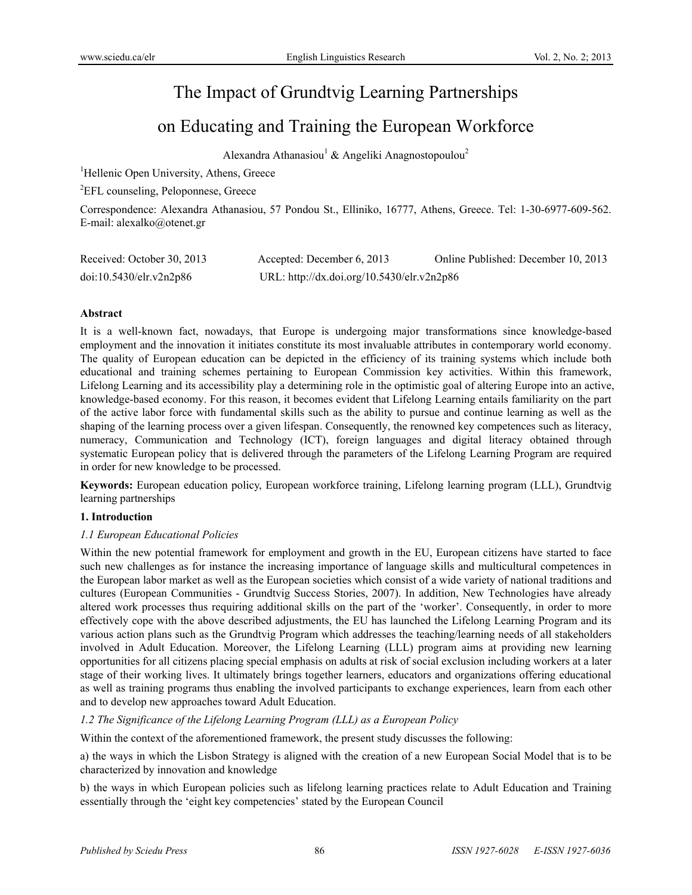# The Impact of Grundtvig Learning Partnerships

# on Educating and Training the European Workforce

Alexandra Athanasiou<sup>1</sup> & Angeliki Anagnostopoulou<sup>2</sup>

<sup>1</sup>Hellenic Open University, Athens, Greece

<sup>2</sup>EFL counseling, Peloponnese, Greece

Correspondence: Alexandra Athanasiou, 57 Pondou St., Elliniko, 16777, Athens, Greece. Tel: 1-30-6977-609-562. E-mail: alexalko@otenet.gr

| Received: October 30, 2013 | Accepted: December 6, 2013                 | Online Published: December 10, 2013 |
|----------------------------|--------------------------------------------|-------------------------------------|
| doi:10.5430/elr.v2n2p86    | URL: http://dx.doi.org/10.5430/elr.v2n2p86 |                                     |

### **Abstract**

It is a well-known fact, nowadays, that Europe is undergoing major transformations since knowledge-based employment and the innovation it initiates constitute its most invaluable attributes in contemporary world economy. The quality of European education can be depicted in the efficiency of its training systems which include both educational and training schemes pertaining to European Commission key activities. Within this framework, Lifelong Learning and its accessibility play a determining role in the optimistic goal of altering Europe into an active, knowledge-based economy. For this reason, it becomes evident that Lifelong Learning entails familiarity on the part of the active labor force with fundamental skills such as the ability to pursue and continue learning as well as the shaping of the learning process over a given lifespan. Consequently, the renowned key competences such as literacy, numeracy, Communication and Technology (ICT), foreign languages and digital literacy obtained through systematic European policy that is delivered through the parameters of the Lifelong Learning Program are required in order for new knowledge to be processed.

**Keywords:** European education policy, European workforce training, Lifelong learning program (LLL), Grundtvig learning partnerships

### **1. Introduction**

### *1.1 European Educational Policies*

Within the new potential framework for employment and growth in the EU, European citizens have started to face such new challenges as for instance the increasing importance of language skills and multicultural competences in the European labor market as well as the European societies which consist of a wide variety of national traditions and cultures (European Communities - Grundtvig Success Stories, 2007). In addition, New Technologies have already altered work processes thus requiring additional skills on the part of the 'worker'. Consequently, in order to more effectively cope with the above described adjustments, the EU has launched the Lifelong Learning Program and its various action plans such as the Grundtvig Program which addresses the teaching/learning needs of all stakeholders involved in Adult Education. Moreover, the Lifelong Learning (LLL) program aims at providing new learning opportunities for all citizens placing special emphasis on adults at risk of social exclusion including workers at a later stage of their working lives. It ultimately brings together learners, educators and organizations offering educational as well as training programs thus enabling the involved participants to exchange experiences, learn from each other and to develop new approaches toward Adult Education.

*1.2 The Significance of the Lifelong Learning Program (LLL) as a European Policy* 

Within the context of the aforementioned framework, the present study discusses the following:

a) the ways in which the Lisbon Strategy is aligned with the creation of a new European Social Model that is to be characterized by innovation and knowledge

b) the ways in which European policies such as lifelong learning practices relate to Adult Education and Training essentially through the 'eight key competencies' stated by the European Council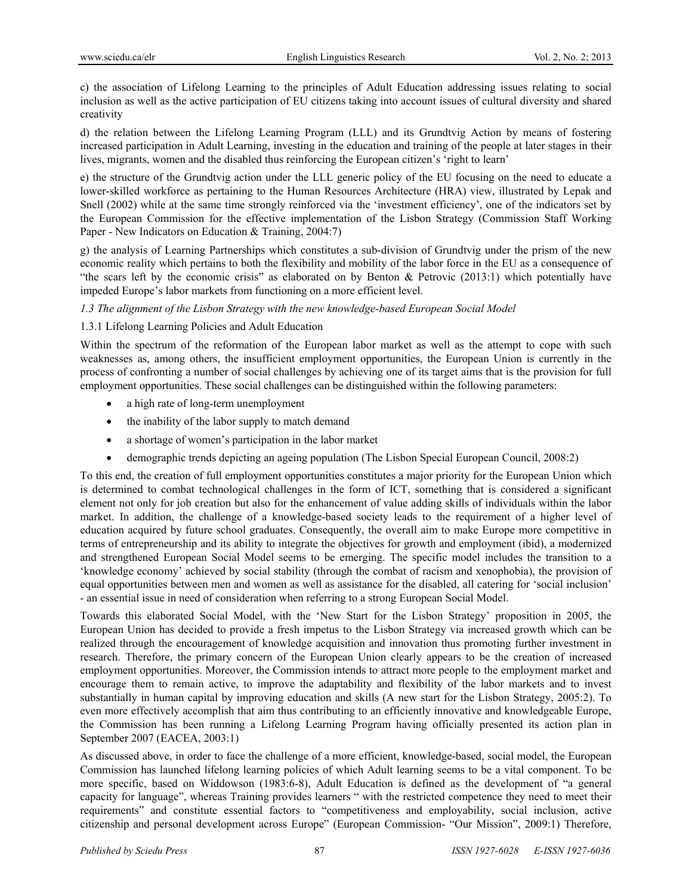c) the association of Lifelong Learning to the principles of Adult Education addressing issues relating to social inclusion as well as the active participation of EU citizens taking into account issues of cultural diversity and shared creativity

d) the relation between the Lifelong Learning Program (LLL) and its Grundtvig Action by means of fostering increased participation in Adult Learning, investing in the education and training of the people at later stages in their lives, migrants, women and the disabled thus reinforcing the European citizen's 'right to learn'

e) the structure of the Grundtvig action under the LLL generic policy of the EU focusing on the need to educate a lower-skilled workforce as pertaining to the Human Resources Architecture (HRA) view, illustrated by Lepak and Snell (2002) while at the same time strongly reinforced via the 'investment efficiency', one of the indicators set by the European Commission for the effective implementation of the Lisbon Strategy (Commission Staff Working Paper - New Indicators on Education & Training, 2004:7)

g) the analysis of Learning Partnerships which constitutes a sub-division of Grundtvig under the prism of the new economic reality which pertains to both the flexibility and mobility of the labor force in the EU as a consequence of "the scars left by the economic crisis" as elaborated on by Benton & Petrovic (2013:1) which potentially have impeded Europe's labor markets from functioning on a more efficient level.

### *1.3 The alignment of the Lisbon Strategy with the new knowledge-based European Social Model*

## 1.3.1 Lifelong Learning Policies and Adult Education

Within the spectrum of the reformation of the European labor market as well as the attempt to cope with such weaknesses as, among others, the insufficient employment opportunities, the European Union is currently in the process of confronting a number of social challenges by achieving one of its target aims that is the provision for full employment opportunities. These social challenges can be distinguished within the following parameters:

- a high rate of long-term unemployment
- the inability of the labor supply to match demand
- a shortage of women's participation in the labor market
- demographic trends depicting an ageing population (The Lisbon Special European Council, 2008:2)

To this end, the creation of full employment opportunities constitutes a major priority for the European Union which is determined to combat technological challenges in the form of ICT, something that is considered a significant element not only for job creation but also for the enhancement of value adding skills of individuals within the labor market. In addition, the challenge of a knowledge-based society leads to the requirement of a higher level of education acquired by future school graduates. Consequently, the overall aim to make Europe more competitive in terms of entrepreneurship and its ability to integrate the objectives for growth and employment (ibid), a modernized and strengthened European Social Model seems to be emerging. The specific model includes the transition to a 'knowledge economy' achieved by social stability (through the combat of racism and xenophobia), the provision of equal opportunities between men and women as well as assistance for the disabled, all catering for 'social inclusion' - an essential issue in need of consideration when referring to a strong European Social Model.

Towards this elaborated Social Model, with the 'New Start for the Lisbon Strategy' proposition in 2005, the European Union has decided to provide a fresh impetus to the Lisbon Strategy via increased growth which can be realized through the encouragement of knowledge acquisition and innovation thus promoting further investment in research. Therefore, the primary concern of the European Union clearly appears to be the creation of increased employment opportunities. Moreover, the Commission intends to attract more people to the employment market and encourage them to remain active, to improve the adaptability and flexibility of the labor markets and to invest substantially in human capital by improving education and skills (A new start for the Lisbon Strategy, 2005:2). To even more effectively accomplish that aim thus contributing to an efficiently innovative and knowledgeable Europe, the Commission has been running a Lifelong Learning Program having officially presented its action plan in September 2007 (EACEA, 2003:1)

As discussed above, in order to face the challenge of a more efficient, knowledge-based, social model, the European Commission has launched lifelong learning policies of which Adult learning seems to be a vital component. To be more specific, based on Widdowson (1983:6-8), Adult Education is defined as the development of "a general capacity for language", whereas Training provides learners " with the restricted competence they need to meet their requirements" and constitute essential factors to "competitiveness and employability, social inclusion, active citizenship and personal development across Europe" (European Commission- "Our Mission", 2009:1) Therefore,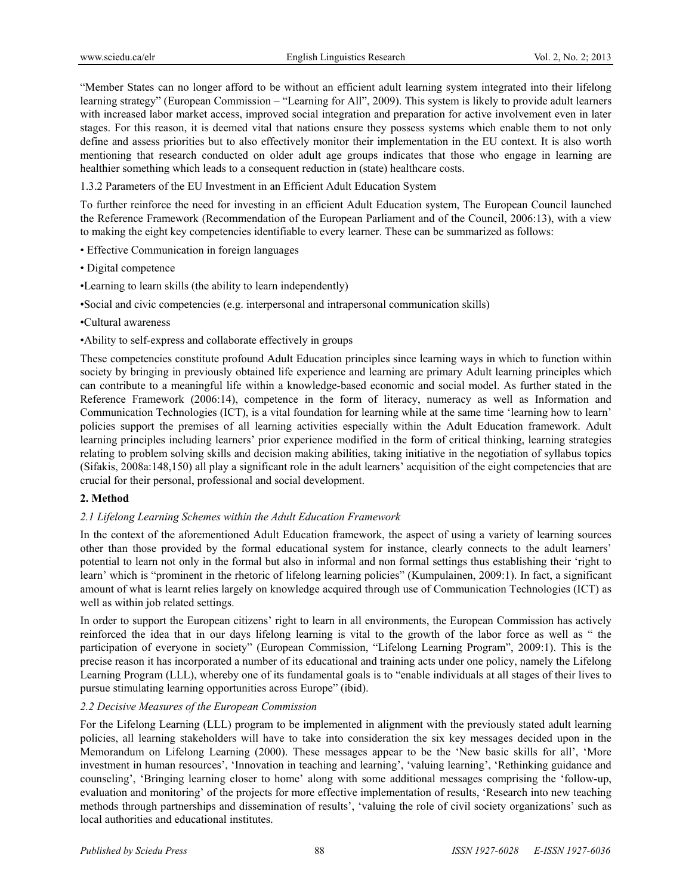"Member States can no longer afford to be without an efficient adult learning system integrated into their lifelong learning strategy" (European Commission – "Learning for All", 2009). This system is likely to provide adult learners with increased labor market access, improved social integration and preparation for active involvement even in later stages. For this reason, it is deemed vital that nations ensure they possess systems which enable them to not only define and assess priorities but to also effectively monitor their implementation in the EU context. It is also worth mentioning that research conducted on older adult age groups indicates that those who engage in learning are healthier something which leads to a consequent reduction in (state) healthcare costs.

1.3.2 Parameters of the EU Investment in an Efficient Adult Education System

To further reinforce the need for investing in an efficient Adult Education system, The European Council launched the Reference Framework (Recommendation of the European Parliament and of the Council, 2006:13), with a view to making the eight key competencies identifiable to every learner. These can be summarized as follows:

- Effective Communication in foreign languages
- Digital competence
- •Learning to learn skills (the ability to learn independently)

•Social and civic competencies (e.g. interpersonal and intrapersonal communication skills)

- •Cultural awareness
- •Ability to self-express and collaborate effectively in groups

These competencies constitute profound Adult Education principles since learning ways in which to function within society by bringing in previously obtained life experience and learning are primary Adult learning principles which can contribute to a meaningful life within a knowledge-based economic and social model. As further stated in the Reference Framework (2006:14), competence in the form of literacy, numeracy as well as Information and Communication Technologies (ICT), is a vital foundation for learning while at the same time 'learning how to learn' policies support the premises of all learning activities especially within the Adult Education framework. Adult learning principles including learners' prior experience modified in the form of critical thinking, learning strategies relating to problem solving skills and decision making abilities, taking initiative in the negotiation of syllabus topics (Sifakis, 2008a:148,150) all play a significant role in the adult learners' acquisition of the eight competencies that are crucial for their personal, professional and social development.

### **2. Method**

### *2.1 Lifelong Learning Schemes within the Adult Education Framework*

In the context of the aforementioned Adult Education framework, the aspect of using a variety of learning sources other than those provided by the formal educational system for instance, clearly connects to the adult learners' potential to learn not only in the formal but also in informal and non formal settings thus establishing their 'right to learn' which is "prominent in the rhetoric of lifelong learning policies" (Kumpulainen, 2009:1). In fact, a significant amount of what is learnt relies largely on knowledge acquired through use of Communication Technologies (ICT) as well as within job related settings.

In order to support the European citizens' right to learn in all environments, the European Commission has actively reinforced the idea that in our days lifelong learning is vital to the growth of the labor force as well as " the participation of everyone in society" (European Commission, "Lifelong Learning Program", 2009:1). This is the precise reason it has incorporated a number of its educational and training acts under one policy, namely the Lifelong Learning Program (LLL), whereby one of its fundamental goals is to "enable individuals at all stages of their lives to pursue stimulating learning opportunities across Europe" (ibid).

### *2.2 Decisive Measures of the European Commission*

For the Lifelong Learning (LLL) program to be implemented in alignment with the previously stated adult learning policies, all learning stakeholders will have to take into consideration the six key messages decided upon in the Memorandum on Lifelong Learning (2000). These messages appear to be the 'New basic skills for all', 'More investment in human resources', 'Innovation in teaching and learning', 'valuing learning', 'Rethinking guidance and counseling', 'Bringing learning closer to home' along with some additional messages comprising the 'follow-up, evaluation and monitoring' of the projects for more effective implementation of results, 'Research into new teaching methods through partnerships and dissemination of results', 'valuing the role of civil society organizations' such as local authorities and educational institutes.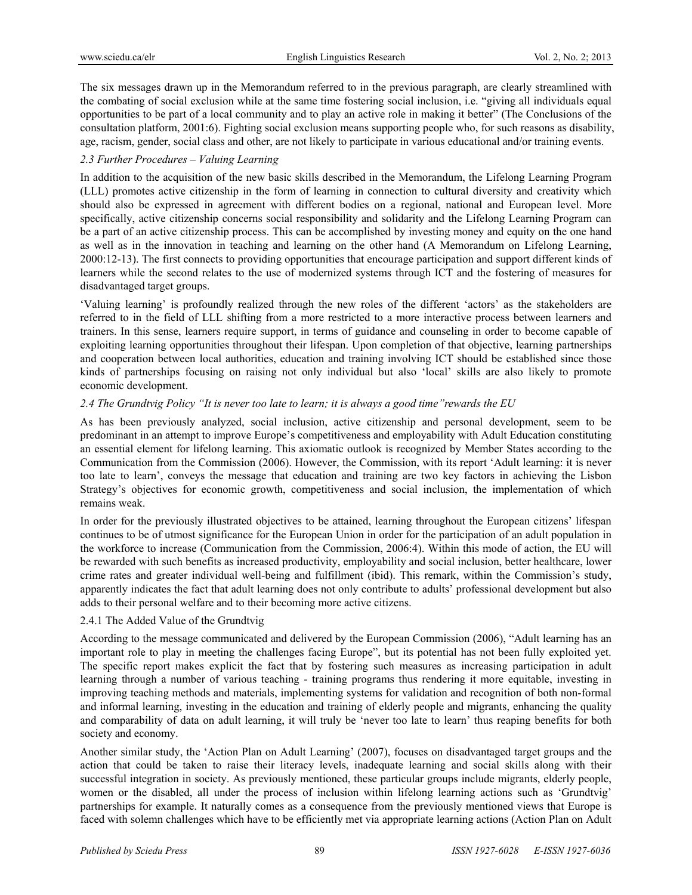The six messages drawn up in the Memorandum referred to in the previous paragraph, are clearly streamlined with the combating of social exclusion while at the same time fostering social inclusion, i.e. "giving all individuals equal opportunities to be part of a local community and to play an active role in making it better" (The Conclusions of the consultation platform, 2001:6). Fighting social exclusion means supporting people who, for such reasons as disability, age, racism, gender, social class and other, are not likely to participate in various educational and/or training events.

### *2.3 Further Procedures – Valuing Learning*

In addition to the acquisition of the new basic skills described in the Memorandum, the Lifelong Learning Program (LLL) promotes active citizenship in the form of learning in connection to cultural diversity and creativity which should also be expressed in agreement with different bodies on a regional, national and European level. More specifically, active citizenship concerns social responsibility and solidarity and the Lifelong Learning Program can be a part of an active citizenship process. This can be accomplished by investing money and equity on the one hand as well as in the innovation in teaching and learning on the other hand (A Memorandum on Lifelong Learning, 2000:12-13). The first connects to providing opportunities that encourage participation and support different kinds of learners while the second relates to the use of modernized systems through ICT and the fostering of measures for disadvantaged target groups.

'Valuing learning' is profoundly realized through the new roles of the different 'actors' as the stakeholders are referred to in the field of LLL shifting from a more restricted to a more interactive process between learners and trainers. In this sense, learners require support, in terms of guidance and counseling in order to become capable of exploiting learning opportunities throughout their lifespan. Upon completion of that objective, learning partnerships and cooperation between local authorities, education and training involving ICT should be established since those kinds of partnerships focusing on raising not only individual but also 'local' skills are also likely to promote economic development.

## *2.4 The Grundtvig Policy "It is never too late to learn; it is always a good time"rewards the EU*

As has been previously analyzed, social inclusion, active citizenship and personal development, seem to be predominant in an attempt to improve Europe's competitiveness and employability with Adult Education constituting an essential element for lifelong learning. This axiomatic outlook is recognized by Member States according to the Communication from the Commission (2006). However, the Commission, with its report 'Adult learning: it is never too late to learn', conveys the message that education and training are two key factors in achieving the Lisbon Strategy's objectives for economic growth, competitiveness and social inclusion, the implementation of which remains weak.

In order for the previously illustrated objectives to be attained, learning throughout the European citizens' lifespan continues to be of utmost significance for the European Union in order for the participation of an adult population in the workforce to increase (Communication from the Commission, 2006:4). Within this mode of action, the EU will be rewarded with such benefits as increased productivity, employability and social inclusion, better healthcare, lower crime rates and greater individual well-being and fulfillment (ibid). This remark, within the Commission's study, apparently indicates the fact that adult learning does not only contribute to adults' professional development but also adds to their personal welfare and to their becoming more active citizens.

### 2.4.1 The Added Value of the Grundtvig

According to the message communicated and delivered by the European Commission (2006), "Adult learning has an important role to play in meeting the challenges facing Europe", but its potential has not been fully exploited yet. The specific report makes explicit the fact that by fostering such measures as increasing participation in adult learning through a number of various teaching - training programs thus rendering it more equitable, investing in improving teaching methods and materials, implementing systems for validation and recognition of both non-formal and informal learning, investing in the education and training of elderly people and migrants, enhancing the quality and comparability of data on adult learning, it will truly be 'never too late to learn' thus reaping benefits for both society and economy.

Another similar study, the 'Action Plan on Adult Learning' (2007), focuses on disadvantaged target groups and the action that could be taken to raise their literacy levels, inadequate learning and social skills along with their successful integration in society. As previously mentioned, these particular groups include migrants, elderly people, women or the disabled, all under the process of inclusion within lifelong learning actions such as 'Grundtvig' partnerships for example. It naturally comes as a consequence from the previously mentioned views that Europe is faced with solemn challenges which have to be efficiently met via appropriate learning actions (Action Plan on Adult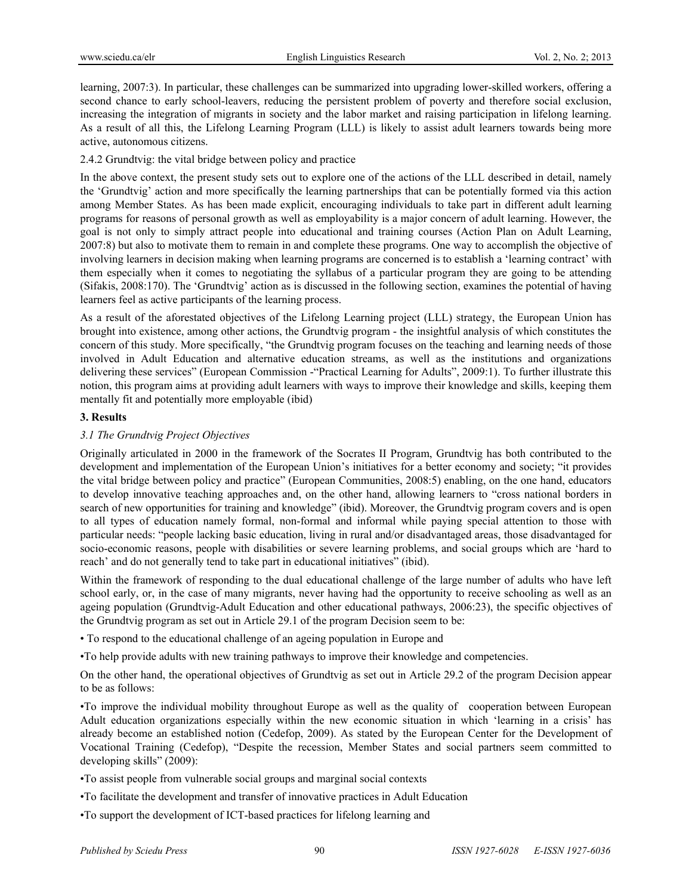learning, 2007:3). In particular, these challenges can be summarized into upgrading lower-skilled workers, offering a second chance to early school-leavers, reducing the persistent problem of poverty and therefore social exclusion, increasing the integration of migrants in society and the labor market and raising participation in lifelong learning. As a result of all this, the Lifelong Learning Program (LLL) is likely to assist adult learners towards being more active, autonomous citizens.

2.4.2 Grundtvig: the vital bridge between policy and practice

In the above context, the present study sets out to explore one of the actions of the LLL described in detail, namely the 'Grundtvig' action and more specifically the learning partnerships that can be potentially formed via this action among Member States. As has been made explicit, encouraging individuals to take part in different adult learning programs for reasons of personal growth as well as employability is a major concern of adult learning. However, the goal is not only to simply attract people into educational and training courses (Action Plan on Adult Learning, 2007:8) but also to motivate them to remain in and complete these programs. One way to accomplish the objective of involving learners in decision making when learning programs are concerned is to establish a 'learning contract' with them especially when it comes to negotiating the syllabus of a particular program they are going to be attending (Sifakis, 2008:170). The 'Grundtvig' action as is discussed in the following section, examines the potential of having learners feel as active participants of the learning process.

As a result of the aforestated objectives of the Lifelong Learning project (LLL) strategy, the European Union has brought into existence, among other actions, the Grundtvig program - the insightful analysis of which constitutes the concern of this study. More specifically, "the Grundtvig program focuses on the teaching and learning needs of those involved in Adult Education and alternative education streams, as well as the institutions and organizations delivering these services" (European Commission -"Practical Learning for Adults", 2009:1). To further illustrate this notion, this program aims at providing adult learners with ways to improve their knowledge and skills, keeping them mentally fit and potentially more employable (ibid)

### **3. Results**

### *3.1 The Grundtvig Project Objectives*

Originally articulated in 2000 in the framework of the Socrates II Program, Grundtvig has both contributed to the development and implementation of the European Union's initiatives for a better economy and society; "it provides the vital bridge between policy and practice" (European Communities, 2008:5) enabling, on the one hand, educators to develop innovative teaching approaches and, on the other hand, allowing learners to "cross national borders in search of new opportunities for training and knowledge" (ibid). Moreover, the Grundtvig program covers and is open to all types of education namely formal, non-formal and informal while paying special attention to those with particular needs: "people lacking basic education, living in rural and/or disadvantaged areas, those disadvantaged for socio-economic reasons, people with disabilities or severe learning problems, and social groups which are 'hard to reach' and do not generally tend to take part in educational initiatives" (ibid).

Within the framework of responding to the dual educational challenge of the large number of adults who have left school early, or, in the case of many migrants, never having had the opportunity to receive schooling as well as an ageing population (Grundtvig-Adult Education and other educational pathways, 2006:23), the specific objectives of the Grundtvig program as set out in Article 29.1 of the program Decision seem to be:

• To respond to the educational challenge of an ageing population in Europe and

•To help provide adults with new training pathways to improve their knowledge and competencies.

On the other hand, the operational objectives of Grundtvig as set out in Article 29.2 of the program Decision appear to be as follows:

•To improve the individual mobility throughout Europe as well as the quality of cooperation between European Adult education organizations especially within the new economic situation in which 'learning in a crisis' has already become an established notion (Cedefop, 2009). As stated by the European Center for the Development of Vocational Training (Cedefop), "Despite the recession, Member States and social partners seem committed to developing skills" (2009):

•To assist people from vulnerable social groups and marginal social contexts

•To facilitate the development and transfer of innovative practices in Adult Education

•To support the development of ICT-based practices for lifelong learning and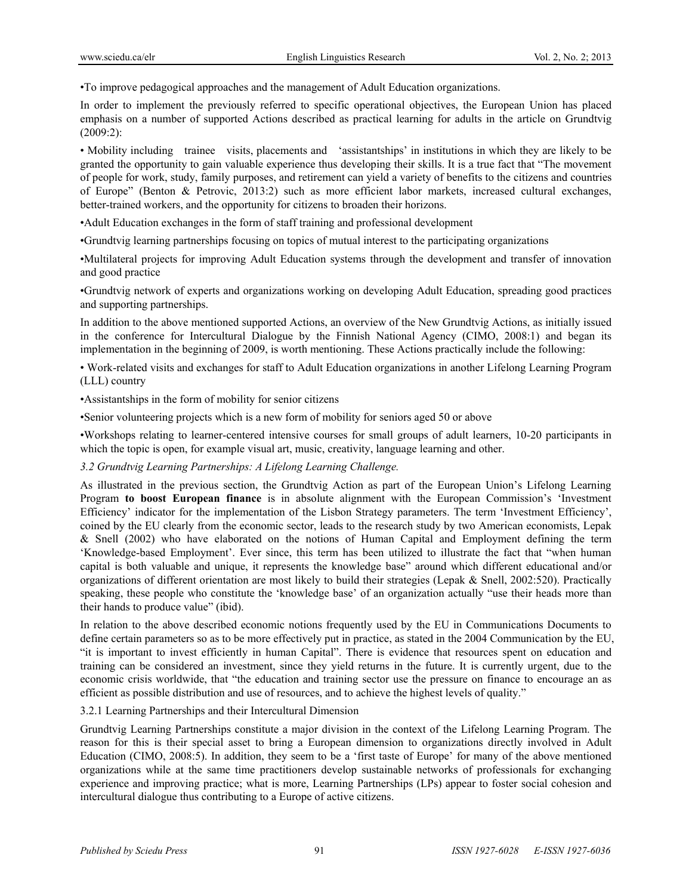•To improve pedagogical approaches and the management of Adult Education organizations.

In order to implement the previously referred to specific operational objectives, the European Union has placed emphasis on a number of supported Actions described as practical learning for adults in the article on Grundtvig (2009:2):

• Mobility including trainee visits, placements and 'assistantships' in institutions in which they are likely to be granted the opportunity to gain valuable experience thus developing their skills. It is a true fact that "The movement of people for work, study, family purposes, and retirement can yield a variety of benefits to the citizens and countries of Europe" (Benton & Petrovic, 2013:2) such as more efficient labor markets, increased cultural exchanges, better-trained workers, and the opportunity for citizens to broaden their horizons.

•Adult Education exchanges in the form of staff training and professional development

•Grundtvig learning partnerships focusing on topics of mutual interest to the participating organizations

•Multilateral projects for improving Adult Education systems through the development and transfer of innovation and good practice

•Grundtvig network of experts and organizations working on developing Adult Education, spreading good practices and supporting partnerships.

In addition to the above mentioned supported Actions, an overview of the New Grundtvig Actions, as initially issued in the conference for Intercultural Dialogue by the Finnish National Agency (CIMO, 2008:1) and began its implementation in the beginning of 2009, is worth mentioning. These Actions practically include the following:

• Work-related visits and exchanges for staff to Adult Education organizations in another Lifelong Learning Program (LLL) country

•Assistantships in the form of mobility for senior citizens

•Senior volunteering projects which is a new form of mobility for seniors aged 50 or above

•Workshops relating to learner-centered intensive courses for small groups of adult learners, 10-20 participants in which the topic is open, for example visual art, music, creativity, language learning and other.

### *3.2 Grundtvig Learning Partnerships: A Lifelong Learning Challenge.*

As illustrated in the previous section, the Grundtvig Action as part of the European Union's Lifelong Learning Program **to boost European finance** is in absolute alignment with the European Commission's 'Investment Efficiency' indicator for the implementation of the Lisbon Strategy parameters. The term 'Investment Efficiency', coined by the EU clearly from the economic sector, leads to the research study by two American economists, Lepak & Snell (2002) who have elaborated on the notions of Human Capital and Employment defining the term 'Knowledge-based Employment'. Ever since, this term has been utilized to illustrate the fact that "when human capital is both valuable and unique, it represents the knowledge base" around which different educational and/or organizations of different orientation are most likely to build their strategies (Lepak & Snell, 2002:520). Practically speaking, these people who constitute the 'knowledge base' of an organization actually "use their heads more than their hands to produce value" (ibid).

In relation to the above described economic notions frequently used by the EU in Communications Documents to define certain parameters so as to be more effectively put in practice, as stated in the 2004 Communication by the EU, "it is important to invest efficiently in human Capital". There is evidence that resources spent on education and training can be considered an investment, since they yield returns in the future. It is currently urgent, due to the economic crisis worldwide, that "the education and training sector use the pressure on finance to encourage an as efficient as possible distribution and use of resources, and to achieve the highest levels of quality."

### 3.2.1 Learning Partnerships and their Intercultural Dimension

Grundtvig Learning Partnerships constitute a major division in the context of the Lifelong Learning Program. The reason for this is their special asset to bring a European dimension to organizations directly involved in Adult Education (CIMO, 2008:5). In addition, they seem to be a 'first taste of Europe' for many of the above mentioned organizations while at the same time practitioners develop sustainable networks of professionals for exchanging experience and improving practice; what is more, Learning Partnerships (LPs) appear to foster social cohesion and intercultural dialogue thus contributing to a Europe of active citizens.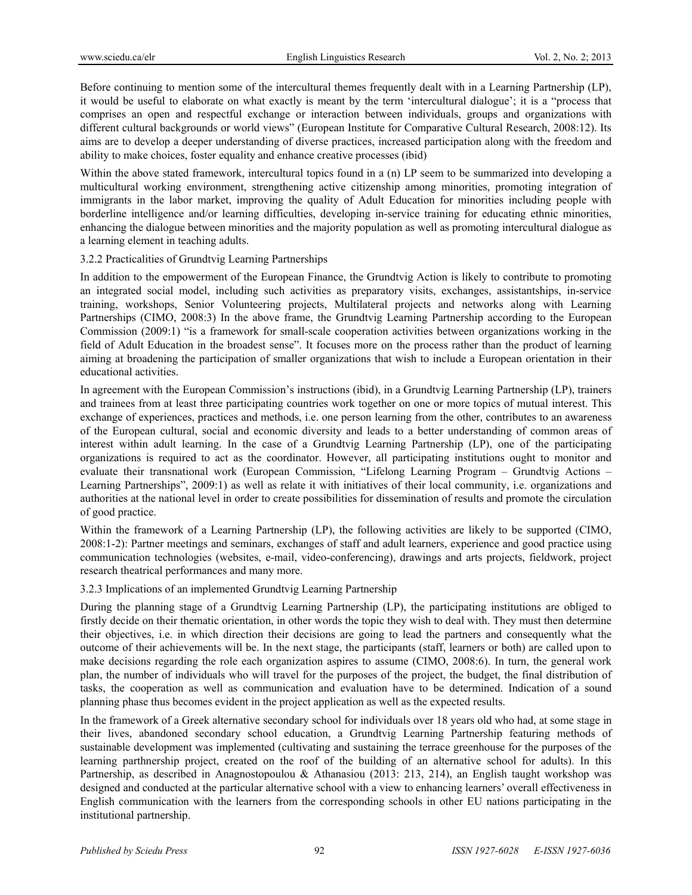Before continuing to mention some of the intercultural themes frequently dealt with in a Learning Partnership (LP), it would be useful to elaborate on what exactly is meant by the term 'intercultural dialogue'; it is a "process that comprises an open and respectful exchange or interaction between individuals, groups and organizations with different cultural backgrounds or world views" (European Institute for Comparative Cultural Research, 2008:12). Its aims are to develop a deeper understanding of diverse practices, increased participation along with the freedom and ability to make choices, foster equality and enhance creative processes (ibid)

Within the above stated framework, intercultural topics found in a (n) LP seem to be summarized into developing a multicultural working environment, strengthening active citizenship among minorities, promoting integration of immigrants in the labor market, improving the quality of Adult Education for minorities including people with borderline intelligence and/or learning difficulties, developing in-service training for educating ethnic minorities, enhancing the dialogue between minorities and the majority population as well as promoting intercultural dialogue as a learning element in teaching adults.

#### 3.2.2 Practicalities of Grundtvig Learning Partnerships

In addition to the empowerment of the European Finance, the Grundtvig Action is likely to contribute to promoting an integrated social model, including such activities as preparatory visits, exchanges, assistantships, in-service training, workshops, Senior Volunteering projects, Multilateral projects and networks along with Learning Partnerships (CIMO, 2008:3) In the above frame, the Grundtvig Learning Partnership according to the European Commission (2009:1) "is a framework for small-scale cooperation activities between organizations working in the field of Adult Education in the broadest sense". It focuses more on the process rather than the product of learning aiming at broadening the participation of smaller organizations that wish to include a European orientation in their educational activities.

In agreement with the European Commission's instructions (ibid), in a Grundtvig Learning Partnership (LP), trainers and trainees from at least three participating countries work together on one or more topics of mutual interest. This exchange of experiences, practices and methods, i.e. one person learning from the other, contributes to an awareness of the European cultural, social and economic diversity and leads to a better understanding of common areas of interest within adult learning. In the case of a Grundtvig Learning Partnership (LP), one of the participating organizations is required to act as the coordinator. However, all participating institutions ought to monitor and evaluate their transnational work (European Commission, "Lifelong Learning Program – Grundtvig Actions – Learning Partnerships", 2009:1) as well as relate it with initiatives of their local community, i.e. organizations and authorities at the national level in order to create possibilities for dissemination of results and promote the circulation of good practice.

Within the framework of a Learning Partnership (LP), the following activities are likely to be supported (CIMO, 2008:1-2): Partner meetings and seminars, exchanges of staff and adult learners, experience and good practice using communication technologies (websites, e-mail, video-conferencing), drawings and arts projects, fieldwork, project research theatrical performances and many more.

### 3.2.3 Implications of an implemented Grundtvig Learning Partnership

During the planning stage of a Grundtvig Learning Partnership (LP), the participating institutions are obliged to firstly decide on their thematic orientation, in other words the topic they wish to deal with. They must then determine their objectives, i.e. in which direction their decisions are going to lead the partners and consequently what the outcome of their achievements will be. In the next stage, the participants (staff, learners or both) are called upon to make decisions regarding the role each organization aspires to assume (CIMO, 2008:6). In turn, the general work plan, the number of individuals who will travel for the purposes of the project, the budget, the final distribution of tasks, the cooperation as well as communication and evaluation have to be determined. Indication of a sound planning phase thus becomes evident in the project application as well as the expected results.

In the framework of a Greek alternative secondary school for individuals over 18 years old who had, at some stage in their lives, abandoned secondary school education, a Grundtvig Learning Partnership featuring methods of sustainable development was implemented (cultivating and sustaining the terrace greenhouse for the purposes of the learning parthnership project, created on the roof of the building of an alternative school for adults). In this Partnership, as described in Anagnostopoulou & Athanasiou (2013: 213, 214), an English taught workshop was designed and conducted at the particular alternative school with a view to enhancing learners' overall effectiveness in English communication with the learners from the corresponding schools in other EU nations participating in the institutional partnership.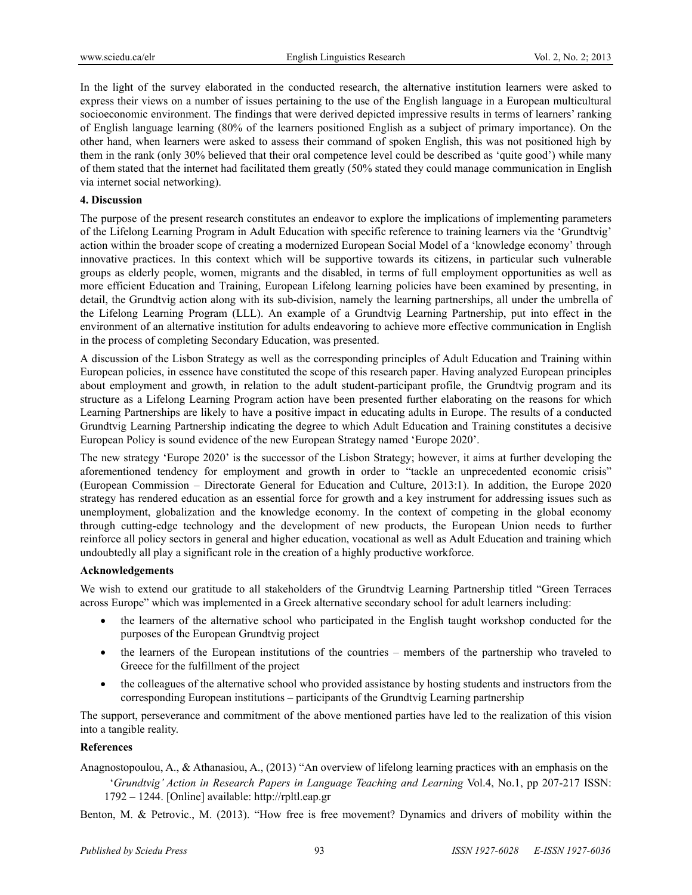In the light of the survey elaborated in the conducted research, the alternative institution learners were asked to express their views on a number of issues pertaining to the use of the English language in a European multicultural socioeconomic environment. The findings that were derived depicted impressive results in terms of learners' ranking of English language learning (80% of the learners positioned English as a subject of primary importance). On the other hand, when learners were asked to assess their command of spoken English, this was not positioned high by them in the rank (only 30% believed that their oral competence level could be described as 'quite good') while many of them stated that the internet had facilitated them greatly (50% stated they could manage communication in English via internet social networking).

#### **4. Discussion**

The purpose of the present research constitutes an endeavor to explore the implications of implementing parameters of the Lifelong Learning Program in Adult Education with specific reference to training learners via the 'Grundtvig' action within the broader scope of creating a modernized European Social Model of a 'knowledge economy' through innovative practices. In this context which will be supportive towards its citizens, in particular such vulnerable groups as elderly people, women, migrants and the disabled, in terms of full employment opportunities as well as more efficient Education and Training, European Lifelong learning policies have been examined by presenting, in detail, the Grundtvig action along with its sub-division, namely the learning partnerships, all under the umbrella of the Lifelong Learning Program (LLL). An example of a Grundtvig Learning Partnership, put into effect in the environment of an alternative institution for adults endeavoring to achieve more effective communication in English in the process of completing Secondary Education, was presented.

A discussion of the Lisbon Strategy as well as the corresponding principles of Adult Education and Training within European policies, in essence have constituted the scope of this research paper. Having analyzed European principles about employment and growth, in relation to the adult student-participant profile, the Grundtvig program and its structure as a Lifelong Learning Program action have been presented further elaborating on the reasons for which Learning Partnerships are likely to have a positive impact in educating adults in Europe. The results of a conducted Grundtvig Learning Partnership indicating the degree to which Adult Education and Training constitutes a decisive European Policy is sound evidence of the new European Strategy named 'Europe 2020'.

The new strategy 'Europe 2020' is the successor of the Lisbon Strategy; however, it aims at further developing the aforementioned tendency for employment and growth in order to "tackle an unprecedented economic crisis" (European Commission – Directorate General for Education and Culture, 2013:1). In addition, the Europe 2020 strategy has rendered education as an essential force for growth and a key instrument for addressing issues such as unemployment, globalization and the knowledge economy. In the context of competing in the global economy through cutting-edge technology and the development of new products, the European Union needs to further reinforce all policy sectors in general and higher education, vocational as well as Adult Education and training which undoubtedly all play a significant role in the creation of a highly productive workforce.

#### **Acknowledgements**

We wish to extend our gratitude to all stakeholders of the Grundtvig Learning Partnership titled "Green Terraces across Europe" which was implemented in a Greek alternative secondary school for adult learners including:

- the learners of the alternative school who participated in the English taught workshop conducted for the purposes of the European Grundtvig project
- the learners of the European institutions of the countries members of the partnership who traveled to Greece for the fulfillment of the project
- the colleagues of the alternative school who provided assistance by hosting students and instructors from the corresponding European institutions – participants of the Grundtvig Learning partnership

The support, perseverance and commitment of the above mentioned parties have led to the realization of this vision into a tangible reality.

### **References**

Anagnostopoulou, A., & Athanasiou, A., (2013) "An overview of lifelong learning practices with an emphasis on the '*Grundtvig' Action in Research Papers in Language Teaching and Learning* Vol.4, No.1, pp 207-217 ISSN: 1792 – 1244. [Online] available: http://rpltl.eap.gr

Benton, M. & Petrovic., M. (2013). "How free is free movement? Dynamics and drivers of mobility within the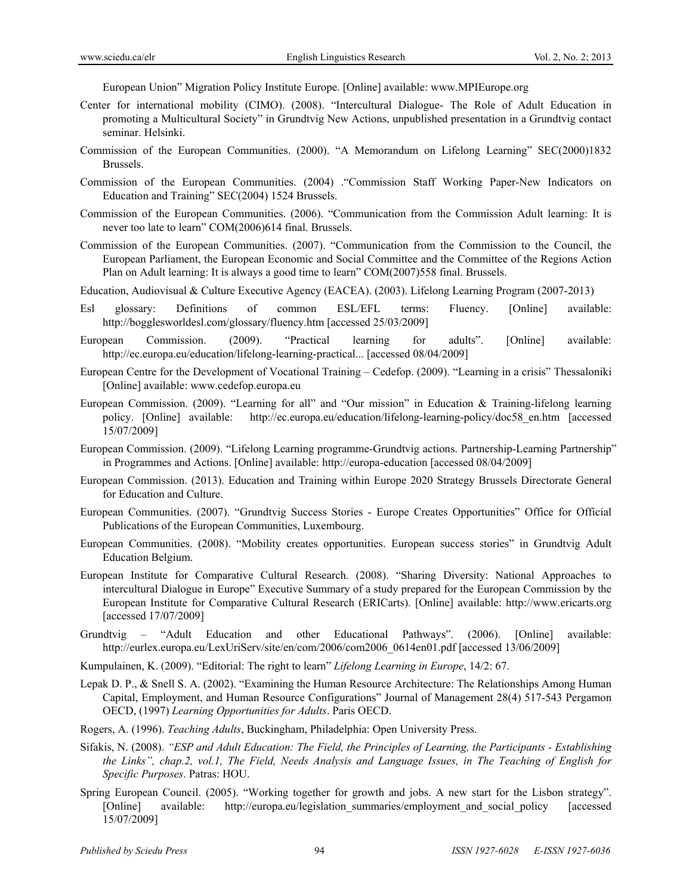European Union" Migration Policy Institute Europe. [Online] available: www.MPIEurope.org

- Center for international mobility (CIMO). (2008). "Intercultural Dialogue- The Role of Adult Education in promoting a Multicultural Society" in Grundtvig New Actions, unpublished presentation in a Grundtvig contact seminar. Helsinki.
- Commission of the European Communities. (2000). "A Memorandum on Lifelong Learning" SEC(2000)1832 Brussels.
- Commission of the European Communities. (2004) ."Commission Staff Working Paper-New Indicators on Education and Training" SEC(2004) 1524 Brussels.
- Commission of the European Communities. (2006). "Communication from the Commission Adult learning: It is never too late to learn" COM(2006)614 final. Brussels.
- Commission of the European Communities. (2007). "Communication from the Commission to the Council, the European Parliament, the European Economic and Social Committee and the Committee of the Regions Action Plan on Adult learning: It is always a good time to learn" COM(2007)558 final. Brussels.
- Education, Audiovisual & Culture Executive Agency (EACEA). (2003). Lifelong Learning Program (2007-2013)
- Esl glossary: Definitions of common ESL/EFL terms: Fluency. [Online] available: http://bogglesworldesl.com/glossary/fluency.htm [accessed 25/03/2009]
- European Commission. (2009). "Practical learning for adults". [Online] available: http://ec.europa.eu/education/lifelong-learning-practical... [accessed 08/04/2009]
- European Centre for the Development of Vocational Training Cedefop. (2009). "Learning in a crisis" Thessaloniki [Online] available: www.cedefop.europa.eu
- European Commission. (2009). "Learning for all" and "Our mission" in Education & Training-lifelong learning policy. [Online] available: http://ec.europa.eu/education/lifelong-learning-policy/doc58\_en.htm [accessed 15/07/2009]
- European Commission. (2009). "Lifelong Learning programme-Grundtvig actions. Partnership-Learning Partnership" in Programmes and Actions. [Online] available: http://europa-education [accessed 08/04/2009]
- European Commission. (2013). Education and Training within Europe 2020 Strategy Brussels Directorate General for Education and Culture.
- European Communities. (2007). "Grundtvig Success Stories Europe Creates Opportunities" Office for Official Publications of the European Communities, Luxembourg.
- European Communities. (2008). "Mobility creates opportunities. European success stories" in Grundtvig Adult Education Belgium.
- European Institute for Comparative Cultural Research. (2008). "Sharing Diversity: National Approaches to intercultural Dialogue in Europe" Executive Summary of a study prepared for the European Commission by the European Institute for Comparative Cultural Research (ERICarts). [Online] available: http://www.ericarts.org [accessed 17/07/2009]
- Grundtvig "Adult Education and other Educational Pathways". (2006). [Online] available: http://eurlex.europa.eu/LexUriServ/site/en/com/2006/com2006\_0614en01.pdf [accessed 13/06/2009]

Kumpulainen, K. (2009). "Editorial: The right to learn" *Lifelong Learning in Europe*, 14/2: 67.

- Lepak D. P., & Snell S. A. (2002). "Examining the Human Resource Architecture: The Relationships Among Human Capital, Employment, and Human Resource Configurations" Journal of Management 28(4) 517-543 Pergamon OECD, (1997) *Learning Opportunities for Adults*. Paris OECD.
- Rogers, A. (1996). *Teaching Adults*, Buckingham, Philadelphia: Open University Press.
- Sifakis, N. (2008). *"ESP and Adult Education: The Field, the Principles of Learning, the Participants Establishing the Links", chap.2, vol.1, The Field, Needs Analysis and Language Issues, in The Teaching of English for Specific Purposes*. Patras: HOU.
- Spring European Council. (2005). "Working together for growth and jobs. A new start for the Lisbon strategy". [Online] available: http://europa.eu/legislation\_summaries/employment\_and\_social\_policy [accessed] 15/07/2009]